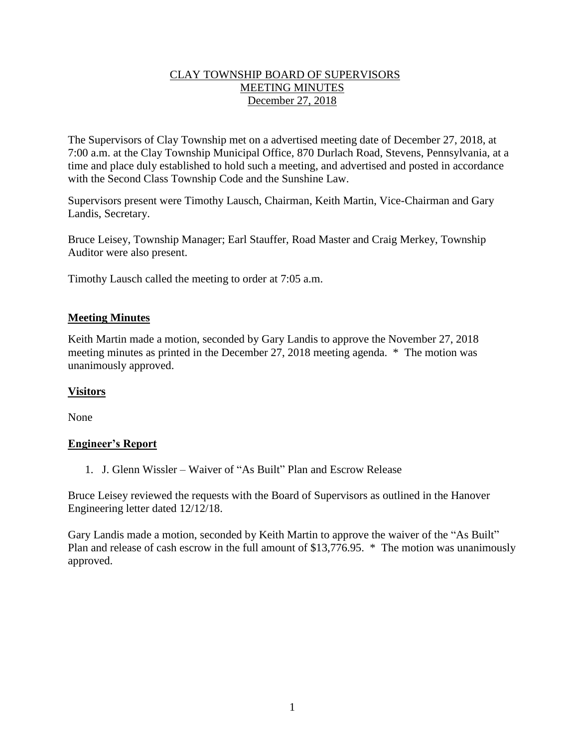## CLAY TOWNSHIP BOARD OF SUPERVISORS MEETING MINUTES December 27, 2018

The Supervisors of Clay Township met on a advertised meeting date of December 27, 2018, at 7:00 a.m. at the Clay Township Municipal Office, 870 Durlach Road, Stevens, Pennsylvania, at a time and place duly established to hold such a meeting, and advertised and posted in accordance with the Second Class Township Code and the Sunshine Law.

Supervisors present were Timothy Lausch, Chairman, Keith Martin, Vice-Chairman and Gary Landis, Secretary.

Bruce Leisey, Township Manager; Earl Stauffer, Road Master and Craig Merkey, Township Auditor were also present.

Timothy Lausch called the meeting to order at 7:05 a.m.

## **Meeting Minutes**

Keith Martin made a motion, seconded by Gary Landis to approve the November 27, 2018 meeting minutes as printed in the December 27, 2018 meeting agenda. \* The motion was unanimously approved.

#### **Visitors**

None

# **Engineer's Report**

1. J. Glenn Wissler – Waiver of "As Built" Plan and Escrow Release

Bruce Leisey reviewed the requests with the Board of Supervisors as outlined in the Hanover Engineering letter dated 12/12/18.

Gary Landis made a motion, seconded by Keith Martin to approve the waiver of the "As Built" Plan and release of cash escrow in the full amount of \$13,776.95. \* The motion was unanimously approved.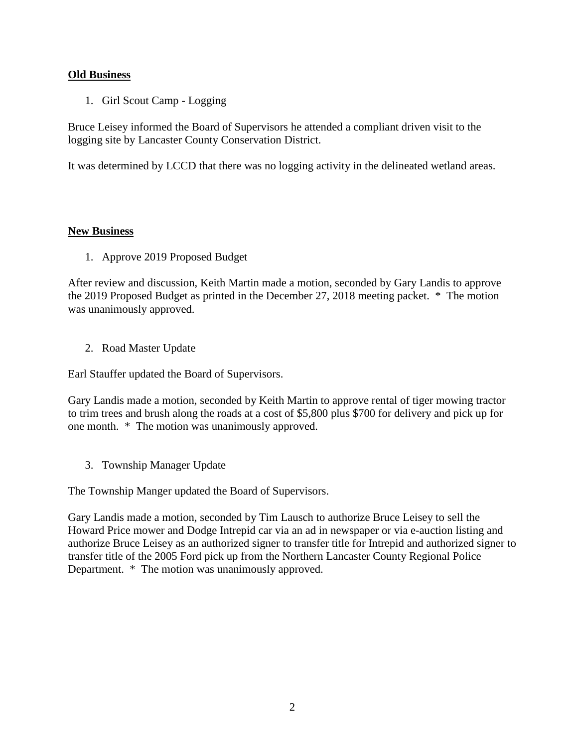## **Old Business**

1. Girl Scout Camp - Logging

Bruce Leisey informed the Board of Supervisors he attended a compliant driven visit to the logging site by Lancaster County Conservation District.

It was determined by LCCD that there was no logging activity in the delineated wetland areas.

#### **New Business**

1. Approve 2019 Proposed Budget

After review and discussion, Keith Martin made a motion, seconded by Gary Landis to approve the 2019 Proposed Budget as printed in the December 27, 2018 meeting packet. \* The motion was unanimously approved.

2. Road Master Update

Earl Stauffer updated the Board of Supervisors.

Gary Landis made a motion, seconded by Keith Martin to approve rental of tiger mowing tractor to trim trees and brush along the roads at a cost of \$5,800 plus \$700 for delivery and pick up for one month. \* The motion was unanimously approved.

3. Township Manager Update

The Township Manger updated the Board of Supervisors.

Gary Landis made a motion, seconded by Tim Lausch to authorize Bruce Leisey to sell the Howard Price mower and Dodge Intrepid car via an ad in newspaper or via e-auction listing and authorize Bruce Leisey as an authorized signer to transfer title for Intrepid and authorized signer to transfer title of the 2005 Ford pick up from the Northern Lancaster County Regional Police Department. \* The motion was unanimously approved.